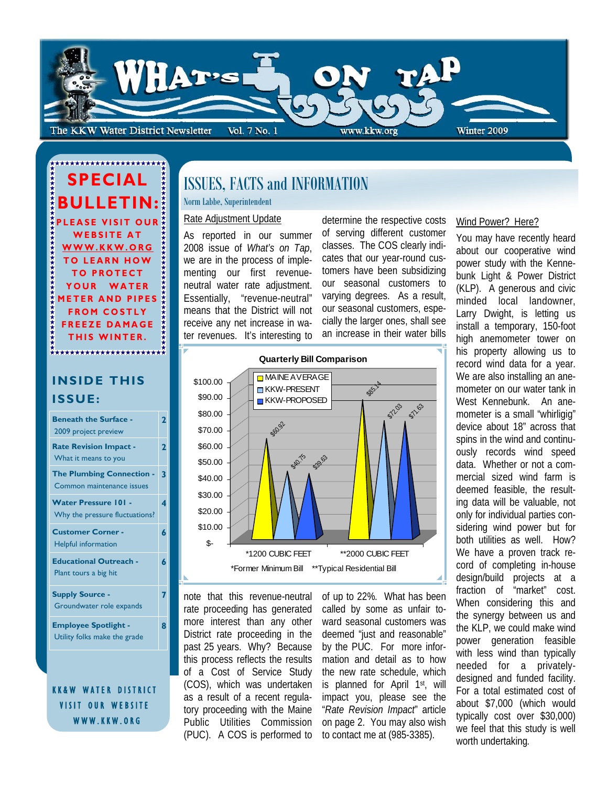

ISSUES, FACTS and INFORMATION Norm Labbe, Superintendent

### Rate Adjustment Update

As reported in our summer 2008 issue of *What's on Tap*, we are in the process of implementing our first revenueneutral water rate adjustment. Essentially, "revenue-neutral" means that the District will not receive any net increase in water revenues. It's interesting to

determine the respective costs of serving different customer classes. The COS clearly indicates that our year-round customers have been subsidizing our seasonal customers to varying degrees. As a result, our seasonal customers, especially the larger ones, shall see an increase in their water bills



note that this revenue-neutral rate proceeding has generated more interest than any other District rate proceeding in the past 25 years. Why? Because this process reflects the results of a Cost of Service Study (COS), which was undertaken as a result of a recent regulatory proceeding with the Maine Public Utilities Commission (PUC). A COS is performed to

of up to 22%. What has been called by some as unfair toward seasonal customers was deemed "just and reasonable" by the PUC. For more information and detail as to how the new rate schedule, which is planned for April 1st, will impact you, please see the "*Rate Revision Impact*" article on page 2. You may also wish to contact me at (985-3385).

#### Wind Power? Here?

You may have recently heard about our cooperative wind power study with the Kennebunk Light & Power District (KLP). A generous and civic minded local landowner, Larry Dwight, is letting us install a temporary, 150-foot high anemometer tower on his property allowing us to record wind data for a year. We are also installing an anemometer on our water tank in West Kennebunk. An anemometer is a small "whirligig" device about 18" across that spins in the wind and continuously records wind speed data. Whether or not a commercial sized wind farm is deemed feasible, the resulting data will be valuable, not only for individual parties considering wind power but for both utilities as well. How? We have a proven track record of completing in-house design/build projects at a fraction of "market" cost. When considering this and the synergy between us and the KLP, we could make wind power generation feasible with less wind than typically needed for a privatelydesigned and funded facility. For a total estimated cost of about \$7,000 (which would typically cost over \$30,000) we feel that this study is well worth undertaking*.*

# **BULLETIN: ASE VISIT OUR WEBSITE AT WWW.KKW.ORG TO LEARN HOW TO PROTECT YOUR WATER METER AND PIPES FROM COSTLY FREEZE DAMAGE THIS WINTER.**

**SPECIAL** 

## **INSIDE THIS ISSUE:**

| <b>Beneath the Surface -</b><br>2009 project preview          | 2           |
|---------------------------------------------------------------|-------------|
| <b>Rate Revision Impact -</b><br>What it means to you         | $\mathbf 2$ |
| <b>The Plumbing Connection -</b><br>Common maintenance issues | 3           |
| <b>Water Pressure 101 -</b><br>Why the pressure fluctuations? | 4           |
| <b>Customer Corner -</b><br><b>Helpful information</b>        | 6           |
| <b>Educational Outreach -</b><br>Plant tours a big hit        | 6           |
| <b>Supply Source -</b><br>Groundwater role expands            |             |
| <b>Employee Spotlight -</b><br>Utility folks make the grade   | ឧ           |

WATER DISTRICT VISIT OUR WEBSITE WWW.KKW.ORG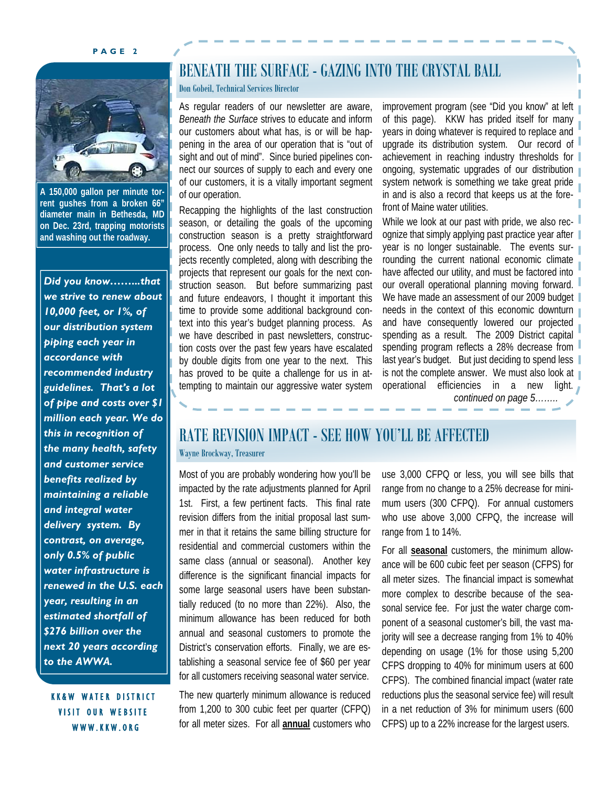#### **PAGE 2**



**A 150,000 gallon per minute torrent gushes from a broken 66" diameter main in Bethesda, MD on Dec. 23rd, trapping motorists and washing out the roadway.** 

*Did you know……...that we strive to renew about 10,000 feet, or 1%, of our distribution system piping each year in accordance with recommended industry guidelines. That's a lot of pipe and costs over \$1 million each year. We do this in recognition of the many health, safety and customer service benefits realized by maintaining a reliable and integral water delivery system. By contrast, on average, only 0.5% of public water infrastructure is renewed in the U.S. each year, resulting in an estimated shortfall of \$276 billion over the next 20 years according to the AWWA.* 

KK&W WATER DISTRICT VISIT OUR WEBSITE WWW.KKW.ORG

# BENEATH THE SURFACE - GAZING INTO THE CRYSTAL BALL

#### Don Gobeil, Technical Services Director

As regular readers of our newsletter are aware, *Beneath the Surface* strives to educate and inform our customers about what has, is or will be happening in the area of our operation that is "out of sight and out of mind". Since buried pipelines connect our sources of supply to each and every one of our customers, it is a vitally important segment of our operation.

Recapping the highlights of the last construction season, or detailing the goals of the upcoming construction season is a pretty straightforward process. One only needs to tally and list the projects recently completed, along with describing the projects that represent our goals for the next construction season. But before summarizing past and future endeavors, I thought it important this time to provide some additional background context into this year's budget planning process. As we have described in past newsletters, construction costs over the past few years have escalated by double digits from one year to the next. This has proved to be quite a challenge for us in attempting to maintain our aggressive water system

improvement program (see "Did you know" at left of this page). KKW has prided itself for many years in doing whatever is required to replace and upgrade its distribution system. Our record of achievement in reaching industry thresholds for ongoing, systematic upgrades of our distribution system network is something we take great pride in and is also a record that keeps us at the forefront of Maine water utilities.

While we look at our past with pride, we also recognize that simply applying past practice year after year is no longer sustainable. The events surrounding the current national economic climate have affected our utility, and must be factored into our overall operational planning moving forward. We have made an assessment of our 2009 budget needs in the context of this economic downturn and have consequently lowered our projected spending as a result. The 2009 District capital spending program reflects a 28% decrease from last year's budget. But just deciding to spend less is not the complete answer. We must also look at operational efficiencies in a new light. *continued on page 5……..* 

# RATE REVISION IMPACT - SEE HOW YOU'LL BE AFFECTED

#### Wayne Brockway, Treasurer

Most of you are probably wondering how you'll be impacted by the rate adjustments planned for April 1st. First, a few pertinent facts. This final rate revision differs from the initial proposal last summer in that it retains the same billing structure for residential and commercial customers within the same class (annual or seasonal). Another key difference is the significant financial impacts for some large seasonal users have been substantially reduced (to no more than 22%). Also, the minimum allowance has been reduced for both annual and seasonal customers to promote the District's conservation efforts. Finally, we are establishing a seasonal service fee of \$60 per year for all customers receiving seasonal water service.

The new quarterly minimum allowance is reduced from 1,200 to 300 cubic feet per quarter (CFPQ) for all meter sizes. For all **annual** customers who use 3,000 CFPQ or less, you will see bills that range from no change to a 25% decrease for minimum users (300 CFPQ). For annual customers who use above 3,000 CFPQ, the increase will range from 1 to 14%.

For all **seasonal** customers, the minimum allowance will be 600 cubic feet per season (CFPS) for all meter sizes. The financial impact is somewhat more complex to describe because of the seasonal service fee. For just the water charge component of a seasonal customer's bill, the vast majority will see a decrease ranging from 1% to 40% depending on usage (1% for those using 5,200 CFPS dropping to 40% for minimum users at 600 CFPS). The combined financial impact (water rate reductions plus the seasonal service fee) will result in a net reduction of 3% for minimum users (600 CFPS) up to a 22% increase for the largest users.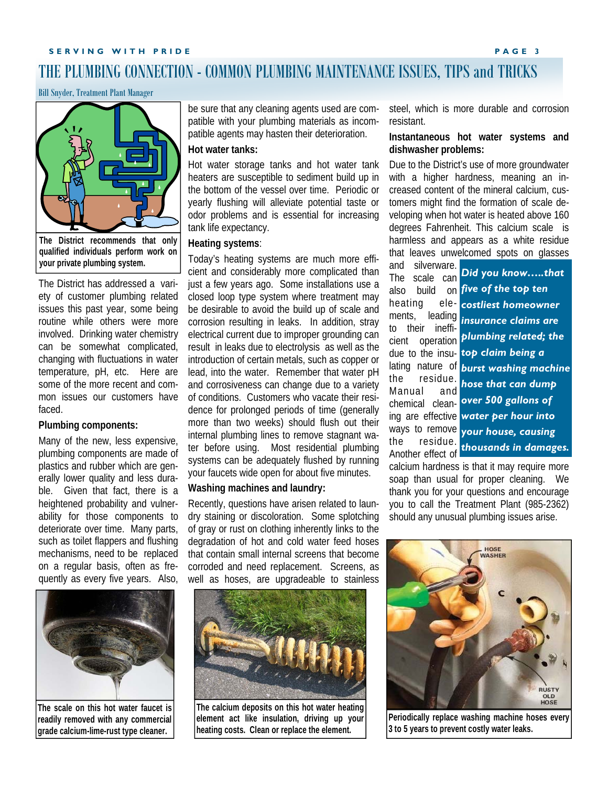# THE PLUMBING CONNECTION - COMMON PLUMBING MAINTENANCE ISSUES, TIPS and TRICKS **SERVING WITH PRIDE PAGE 3**

Bill Snyder, Treatment Plant Manager



The District has addressed a variety of customer plumbing related issues this past year, some being routine while others were more involved. Drinking water chemistry can be somewhat complicated, changing with fluctuations in water temperature, pH, etc. Here are some of the more recent and common issues our customers have faced.

### **Plumbing components:**

Many of the new, less expensive, plumbing components are made of plastics and rubber which are generally lower quality and less durable. Given that fact, there is a heightened probability and vulnerability for those components to deteriorate over time. Many parts, such as toilet flappers and flushing mechanisms, need to be replaced on a regular basis, often as frequently as every five years. Also,



**The scale on this hot water faucet is readily removed with any commercial grade calcium-lime-rust type cleaner.** 

be sure that any cleaning agents used are compatible with your plumbing materials as incompatible agents may hasten their deterioration.

### **Hot water tanks:**

Hot water storage tanks and hot water tank heaters are susceptible to sediment build up in the bottom of the vessel over time. Periodic or yearly flushing will alleviate potential taste or odor problems and is essential for increasing tank life expectancy.

## **Heating systems**:

Today's heating systems are much more efficient and considerably more complicated than just a few years ago. Some installations use a closed loop type system where treatment may be desirable to avoid the build up of scale and corrosion resulting in leaks. In addition, stray electrical current due to improper grounding can result in leaks due to electrolysis as well as the introduction of certain metals, such as copper or lead, into the water. Remember that water pH and corrosiveness can change due to a variety of conditions. Customers who vacate their residence for prolonged periods of time (generally more than two weeks) should flush out their internal plumbing lines to remove stagnant water before using. Most residential plumbing systems can be adequately flushed by running your faucets wide open for about five minutes.

### **Washing machines and laundry:**

Recently, questions have arisen related to laundry staining or discoloration. Some splotching of gray or rust on clothing inherently links to the degradation of hot and cold water feed hoses that contain small internal screens that become corroded and need replacement. Screens, as well as hoses, are upgradeable to stainless



**The calcium deposits on this hot water heating element act like insulation, driving up your heating costs. Clean or replace the element.** 

steel, which is more durable and corrosion resistant.

### **Instantaneous hot water systems and dishwasher problems:**

Due to the District's use of more groundwater with a higher hardness, meaning an increased content of the mineral calcium, customers might find the formation of scale developing when hot water is heated above 160 degrees Fahrenheit. This calcium scale is harmless and appears as a white residue that leaves unwelcomed spots on glasses

and silverware. The scale can heating to their inefficient operation due to the insuthe residue. Manual and chemical cleanthe residue.

also build on *five of the top ten*  ments, leading *insurance claims are*  lating nature of *burst washing machine*  ing are effective *water per hour into*  ways to remove *your house, causing*  Another effect of *thousands in damages. Did you know…..that costliest homeowner plumbing related; the top claim being a hose that can dump over 500 gallons of* 

calcium hardness is that it may require more soap than usual for proper cleaning. We thank you for your questions and encourage you to call the Treatment Plant (985-2362) should any unusual plumbing issues arise.



**Periodically replace washing machine hoses every 3 to 5 years to prevent costly water leaks.**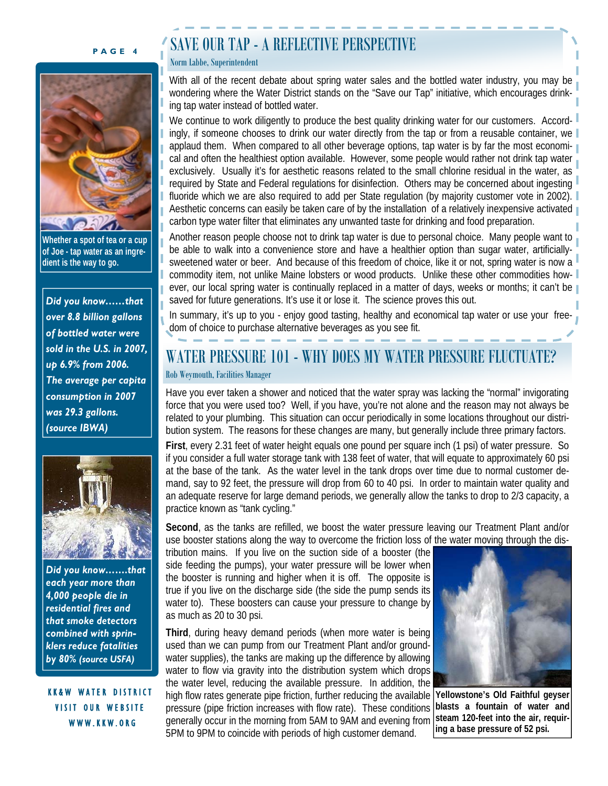### **PAGE 4**



**Whether a spot of tea or a cup of Joe - tap water as an ingredient is the way to go.** 

*Did you know……that over 8.8 billion gallons of bottled water were sold in the U.S. in 2007, up 6.9% from 2006. The average per capita consumption in 2007 was 29.3 gallons. (source IBWA)* 



*Did you know…….that each year more than 4,000 people die in residential fires and that smoke detectors combined with sprinklers reduce fatalities by 80% (source USFA)*

WATER DISTRICT VISIT OUR WEBSITE WWW.KKW.ORG

# SAVE OUR TAP - A REFLECTIVE PERSPECTIVE

### Norm Labbe, Superintendent

With all of the recent debate about spring water sales and the bottled water industry, you may be wondering where the Water District stands on the "Save our Tap" initiative, which encourages drinking tap water instead of bottled water.

We continue to work diligently to produce the best quality drinking water for our customers. Accordingly, if someone chooses to drink our water directly from the tap or from a reusable container, we applaud them. When compared to all other beverage options, tap water is by far the most economical and often the healthiest option available. However, some people would rather not drink tap water exclusively. Usually it's for aesthetic reasons related to the small chlorine residual in the water, as required by State and Federal regulations for disinfection. Others may be concerned about ingesting fluoride which we are also required to add per State regulation (by majority customer vote in 2002). Aesthetic concerns can easily be taken care of by the installation of a relatively inexpensive activated carbon type water filter that eliminates any unwanted taste for drinking and food preparation.

Another reason people choose not to drink tap water is due to personal choice. Many people want to be able to walk into a convenience store and have a healthier option than sugar water, artificiallysweetened water or beer. And because of this freedom of choice, like it or not, spring water is now a commodity item, not unlike Maine lobsters or wood products. Unlike these other commodities however, our local spring water is continually replaced in a matter of days, weeks or months; it can't be saved for future generations. It's use it or lose it. The science proves this out.

In summary, it's up to you - enjoy good tasting, healthy and economical tap water or use your freedom of choice to purchase alternative beverages as you see fit.

# WATER PRESSURE 101 - WHY DOES MY WATER PRESSURE FLUCTUATE? Rob Weymouth, Facilities Manager

Have you ever taken a shower and noticed that the water spray was lacking the "normal" invigorating force that you were used too? Well, if you have, you're not alone and the reason may not always be related to your plumbing. This situation can occur periodically in some locations throughout our distribution system. The reasons for these changes are many, but generally include three primary factors.

**First**, every 2.31 feet of water height equals one pound per square inch (1 psi) of water pressure. So if you consider a full water storage tank with 138 feet of water, that will equate to approximately 60 psi at the base of the tank. As the water level in the tank drops over time due to normal customer demand, say to 92 feet, the pressure will drop from 60 to 40 psi. In order to maintain water quality and an adequate reserve for large demand periods, we generally allow the tanks to drop to 2/3 capacity, a practice known as "tank cycling."

**Second**, as the tanks are refilled, we boost the water pressure leaving our Treatment Plant and/or use booster stations along the way to overcome the friction loss of the water moving through the dis-

tribution mains. If you live on the suction side of a booster (the side feeding the pumps), your water pressure will be lower when the booster is running and higher when it is off. The opposite is true if you live on the discharge side (the side the pump sends its water to). These boosters can cause your pressure to change by as much as 20 to 30 psi.

**Third**, during heavy demand periods (when more water is being used than we can pump from our Treatment Plant and/or groundwater supplies), the tanks are making up the difference by allowing water to flow via gravity into the distribution system which drops the water level, reducing the available pressure. In addition, the high flow rates generate pipe friction, further reducing the available pressure (pipe friction increases with flow rate). These conditions generally occur in the morning from 5AM to 9AM and evening from 5PM to 9PM to coincide with periods of high customer demand.



**Yellowstone's Old Faithful geyser blasts a fountain of water and steam 120-feet into the air, requiring a base pressure of 52 psi.**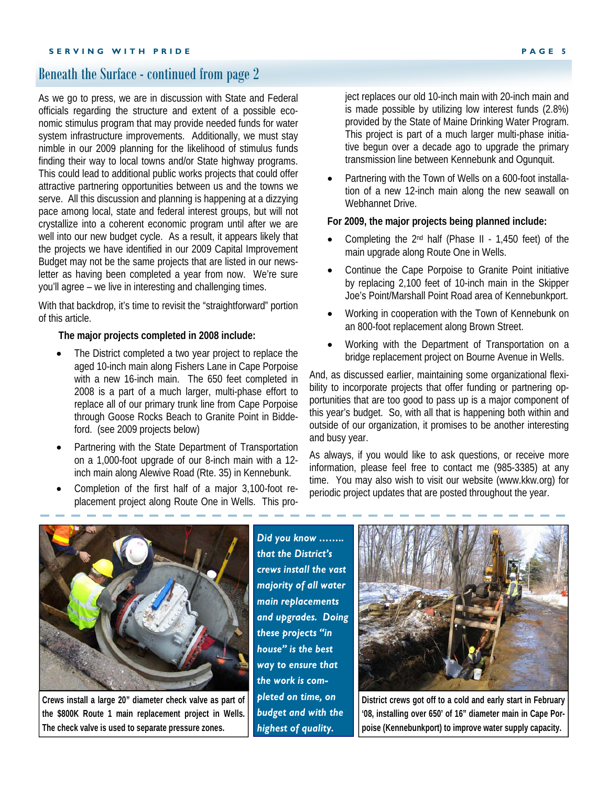## Beneath the Surface - continued from page 2

As we go to press, we are in discussion with State and Federal officials regarding the structure and extent of a possible economic stimulus program that may provide needed funds for water system infrastructure improvements. Additionally, we must stay nimble in our 2009 planning for the likelihood of stimulus funds finding their way to local towns and/or State highway programs. This could lead to additional public works projects that could offer attractive partnering opportunities between us and the towns we serve. All this discussion and planning is happening at a dizzying pace among local, state and federal interest groups, but will not crystallize into a coherent economic program until after we are well into our new budget cycle. As a result, it appears likely that the projects we have identified in our 2009 Capital Improvement Budget may not be the same projects that are listed in our newsletter as having been completed a year from now. We're sure you'll agree – we live in interesting and challenging times.

With that backdrop, it's time to revisit the "straightforward" portion of this article.

### **The major projects completed in 2008 include:**

- The District completed a two year project to replace the aged 10-inch main along Fishers Lane in Cape Porpoise with a new 16-inch main. The 650 feet completed in 2008 is a part of a much larger, multi-phase effort to replace all of our primary trunk line from Cape Porpoise through Goose Rocks Beach to Granite Point in Biddeford. (see 2009 projects below)
- Partnering with the State Department of Transportation on a 1,000-foot upgrade of our 8-inch main with a 12 inch main along Alewive Road (Rte. 35) in Kennebunk.
- Completion of the first half of a major 3,100-foot replacement project along Route One in Wells. This pro-

ject replaces our old 10-inch main with 20-inch main and is made possible by utilizing low interest funds (2.8%) provided by the State of Maine Drinking Water Program. This project is part of a much larger multi-phase initiative begun over a decade ago to upgrade the primary transmission line between Kennebunk and Ogunquit.

• Partnering with the Town of Wells on a 600-foot installation of a new 12-inch main along the new seawall on Webhannet Drive.

### **For 2009, the major projects being planned include:**

- Completing the 2nd half (Phase II 1,450 feet) of the main upgrade along Route One in Wells.
- Continue the Cape Porpoise to Granite Point initiative by replacing 2,100 feet of 10-inch main in the Skipper Joe's Point/Marshall Point Road area of Kennebunkport.
- Working in cooperation with the Town of Kennebunk on an 800-foot replacement along Brown Street.
- Working with the Department of Transportation on a bridge replacement project on Bourne Avenue in Wells.

And, as discussed earlier, maintaining some organizational flexibility to incorporate projects that offer funding or partnering opportunities that are too good to pass up is a major component of this year's budget. So, with all that is happening both within and outside of our organization, it promises to be another interesting and busy year.

As always, if you would like to ask questions, or receive more information, please feel free to contact me (985-3385) at any time. You may also wish to visit our website (www.kkw.org) for periodic project updates that are posted throughout the year.



**Crews install a large 20" diameter check valve as part of the \$800K Route 1 main replacement project in Wells. The check valve is used to separate pressure zones.**

*Did you know …….. that the District's crews install the vast majority of all water main replacements and upgrades. Doing these projects "in house" is the best way to ensure that the work is completed on time, on budget and with the highest of quality.* 



**District crews got off to a cold and early start in February '08, installing over 650' of 16" diameter main in Cape Porpoise (Kennebunkport) to improve water supply capacity.**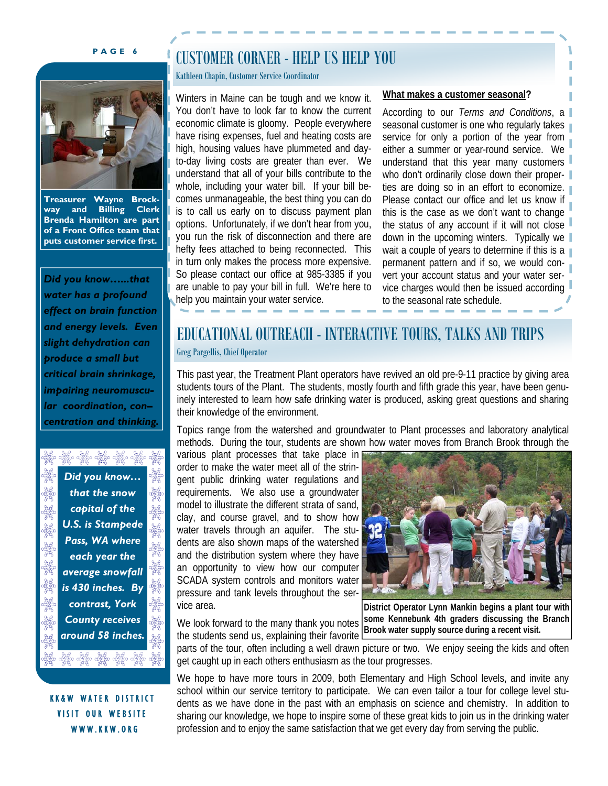#### **PAGE 6**

# CUSTOMER CORNER - HELP US HELP YOU

### Kathleen Chapin, Customer Service Coordinator

**Treasurer Wayne Brockway and Billing Clerk Brenda Hamilton are part of a Front Office team that puts customer service first.** 

*Did you know…...that water has a profound effect on brain function and energy levels. Even slight dehydration can produce a small but critical brain shrinkage, impairing neuromuscular coordination, con– centration and thinking.*



KK&W WATER DISTRICT VISIT OUR WEBSITE WWW.KKW.ORG

Winters in Maine can be tough and we know it. You don't have to look far to know the current economic climate is gloomy. People everywhere have rising expenses, fuel and heating costs are high, housing values have plummeted and dayto-day living costs are greater than ever. We understand that all of your bills contribute to the whole, including your water bill. If your bill becomes unmanageable, the best thing you can do is to call us early on to discuss payment plan options. Unfortunately, if we don't hear from you, you run the risk of disconnection and there are hefty fees attached to being reconnected. This in turn only makes the process more expensive. So please contact our office at 985-3385 if you are unable to pay your bill in full. We're here to help you maintain your water service.

### **What makes a customer seasonal?**

According to our *Terms and Conditions*, a seasonal customer is one who regularly takes service for only a portion of the year from either a summer or year-round service. We understand that this year many customers who don't ordinarily close down their properties are doing so in an effort to economize. Please contact our office and let us know if this is the case as we don't want to change the status of any account if it will not close down in the upcoming winters. Typically we wait a couple of years to determine if this is a permanent pattern and if so, we would convert your account status and your water service charges would then be issued according to the seasonal rate schedule.

# EDUCATIONAL OUTREACH - INTERACTIVE TOURS, TALKS AND TRIPS Greg Pargellis, Chief Operator

This past year, the Treatment Plant operators have revived an old pre-9-11 practice by giving area students tours of the Plant. The students, mostly fourth and fifth grade this year, have been genuinely interested to learn how safe drinking water is produced, asking great questions and sharing their knowledge of the environment.

Topics range from the watershed and groundwater to Plant processes and laboratory analytical methods. During the tour, students are shown how water moves from Branch Brook through the

various plant processes that take place in order to make the water meet all of the stringent public drinking water regulations and requirements. We also use a groundwater model to illustrate the different strata of sand, clay, and course gravel, and to show how water travels through an aquifer. The students are also shown maps of the watershed and the distribution system where they have an opportunity to view how our computer SCADA system controls and monitors water pressure and tank levels throughout the service area.

We look forward to the many thank you notes the students send us, explaining their favorite



**District Operator Lynn Mankin begins a plant tour with some Kennebunk 4th graders discussing the Branch Brook water supply source during a recent visit.** 

parts of the tour, often including a well drawn picture or two. We enjoy seeing the kids and often get caught up in each others enthusiasm as the tour progresses.

We hope to have more tours in 2009, both Elementary and High School levels, and invite any school within our service territory to participate. We can even tailor a tour for college level students as we have done in the past with an emphasis on science and chemistry. In addition to sharing our knowledge, we hope to inspire some of these great kids to join us in the drinking water profession and to enjoy the same satisfaction that we get every day from serving the public.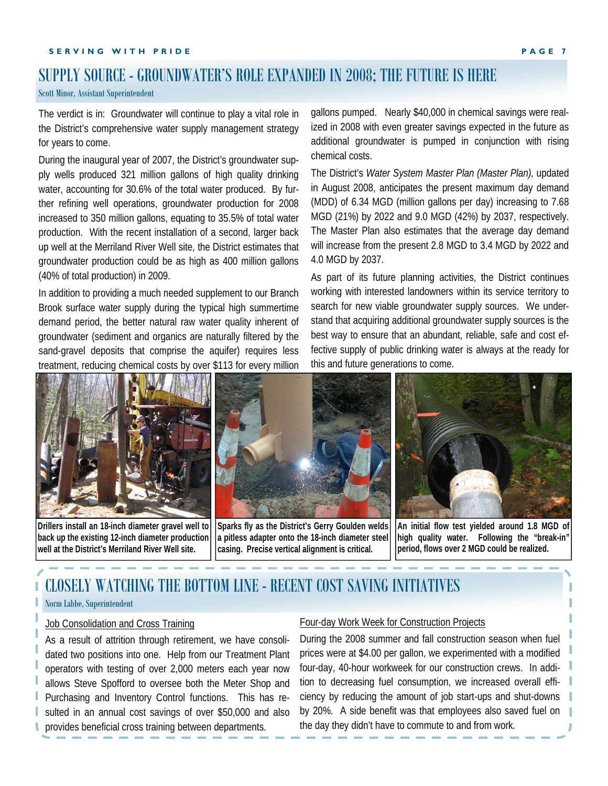# SUPPLY SOURCE - GROUNDWATER'S ROLE EXPANDED IN 2008; THE FUTURE IS HERE

### Scott Minor, Assistant Superintendent

The verdict is in: Groundwater will continue to play a vital role in the District's comprehensive water supply management strategy for years to come.

During the inaugural year of 2007, the District's groundwater supply wells produced 321 million gallons of high quality drinking water, accounting for 30.6% of the total water produced. By further refining well operations, groundwater production for 2008 increased to 350 million gallons, equating to 35.5% of total water production. With the recent installation of a second, larger back up well at the Merriland River Well site, the District estimates that groundwater production could be as high as 400 million gallons (40% of total production) in 2009.

In addition to providing a much needed supplement to our Branch Brook surface water supply during the typical high summertime demand period, the better natural raw water quality inherent of groundwater (sediment and organics are naturally filtered by the sand-gravel deposits that comprise the aquifer) requires less treatment, reducing chemical costs by over \$113 for every million

gallons pumped. Nearly \$40,000 in chemical savings were realized in 2008 with even greater savings expected in the future as additional groundwater is pumped in conjunction with rising chemical costs.

The District's *Water System Master Plan (Master Plan),* updated in August 2008, anticipates the present maximum day demand (MDD) of 6.34 MGD (million gallons per day) increasing to 7.68 MGD (21%) by 2022 and 9.0 MGD (42%) by 2037, respectively. The Master Plan also estimates that the average day demand will increase from the present 2.8 MGD to 3.4 MGD by 2022 and 4.0 MGD by 2037.

As part of its future planning activities, the District continues working with interested landowners within its service territory to search for new viable groundwater supply sources. We understand that acquiring additional groundwater supply sources is the best way to ensure that an abundant, reliable, safe and cost effective supply of public drinking water is always at the ready for this and future generations to come.



**Drillers install an 18-inch diameter gravel well to back up the existing 12-inch diameter production well at the District's Merriland River Well site.** 

**Sparks fly as the District's Gerry Goulden welds a pitless adapter onto the 18-inch diameter steel casing. Precise vertical alignment is critical.** 

**An initial flow test yielded around 1.8 MGD of high quality water. Following the "break-in" period, flows over 2 MGD could be realized.** 

# CLOSELY WATCHING THE BOTTOM LINE - RECENT COST SAVING INITIATIVES

#### Norm Labbe, Superintendent

### Job Consolidation and Cross Training

As a result of attrition through retirement, we have consolidated two positions into one. Help from our Treatment Plant operators with testing of over 2,000 meters each year now allows Steve Spofford to oversee both the Meter Shop and Purchasing and Inventory Control functions. This has resulted in an annual cost savings of over \$50,000 and also provides beneficial cross training between departments.

#### Four-day Work Week for Construction Projects

During the 2008 summer and fall construction season when fuel prices were at \$4.00 per gallon, we experimented with a modified four-day, 40-hour workweek for our construction crews. In addition to decreasing fuel consumption, we increased overall efficiency by reducing the amount of job start-ups and shut-downs by 20%. A side benefit was that employees also saved fuel on the day they didn't have to commute to and from work.